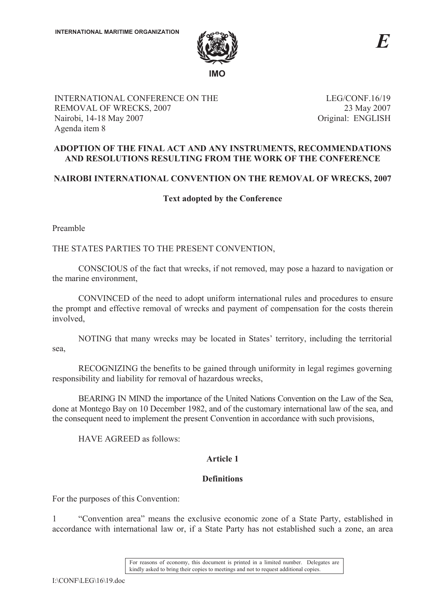

INTERNATIONAL CONFERENCE ON THE LEG/CONF.16/19 REMOVAL OF WRECKS, 2007 23 May 2007 Nairobi, 14-18 May 2007 **Original: ENGLISH** Agenda item 8

# **ADOPTION OF THE FINAL ACT AND ANY INSTRUMENTS, RECOMMENDATIONS AND RESOLUTIONS RESULTING FROM THE WORK OF THE CONFERENCE**

# **NAIROBI INTERNATIONAL CONVENTION ON THE REMOVAL OF WRECKS, 2007**

# **Text adopted by the Conference**

Preamble

THE STATES PARTIES TO THE PRESENT CONVENTION,

CONSCIOUS of the fact that wrecks, if not removed, may pose a hazard to navigation or the marine environment,

CONVINCED of the need to adopt uniform international rules and procedures to ensure the prompt and effective removal of wrecks and payment of compensation for the costs therein involved,

NOTING that many wrecks may be located in States' territory, including the territorial sea,

RECOGNIZING the benefits to be gained through uniformity in legal regimes governing responsibility and liability for removal of hazardous wrecks,

BEARING IN MIND the importance of the United Nations Convention on the Law of the Sea, done at Montego Bay on 10 December 1982, and of the customary international law of the sea, and the consequent need to implement the present Convention in accordance with such provisions,

HAVE AGREED as follows:

## **Article 1**

## **Definitions**

For the purposes of this Convention:

"Convention area" means the exclusive economic zone of a State Party, established in accordance with international law or, if a State Party has not established such a zone, an area 1

> For reasons of economy, this document is printed in a limited number. Delegates are kindly asked to bring their copies to meetings and not to request additional copies.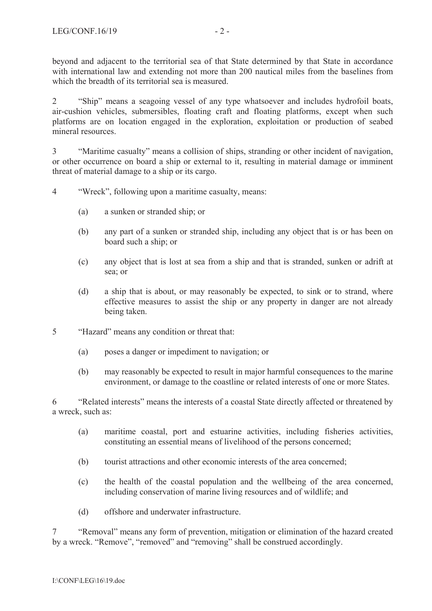beyond and adjacent to the territorial sea of that State determined by that State in accordance with international law and extending not more than 200 nautical miles from the baselines from which the breadth of its territorial sea is measured.

2 "Ship" means a seagoing vessel of any type whatsoever and includes hydrofoil boats, air-cushion vehicles, submersibles, floating craft and floating platforms, except when such platforms are on location engaged in the exploration, exploitation or production of seabed mineral resources.

3 "Maritime casualty" means a collision of ships, stranding or other incident of navigation, or other occurrence on board a ship or external to it, resulting in material damage or imminent threat of material damage to a ship or its cargo.

4 "Wreck", following upon a maritime casualty, means:

- (a) a sunken or stranded ship; or
- (b) any part of a sunken or stranded ship, including any object that is or has been on board such a ship; or
- (c) any object that is lost at sea from a ship and that is stranded, sunken or adrift at sea; or
- (d) a ship that is about, or may reasonably be expected, to sink or to strand, where effective measures to assist the ship or any property in danger are not already being taken.
- 5 "Hazard" means any condition or threat that:
	- (a) poses a danger or impediment to navigation; or
	- (b) may reasonably be expected to result in major harmful consequences to the marine environment, or damage to the coastline or related interests of one or more States.

6 "Related interests" means the interests of a coastal State directly affected or threatened by a wreck, such as:

- (a) maritime coastal, port and estuarine activities, including fisheries activities, constituting an essential means of livelihood of the persons concerned;
- (b) tourist attractions and other economic interests of the area concerned;
- (c) the health of the coastal population and the wellbeing of the area concerned, including conservation of marine living resources and of wildlife; and
- (d) offshore and underwater infrastructure.

7 "Removal" means any form of prevention, mitigation or elimination of the hazard created by a wreck. "Remove", "removed" and "removing" shall be construed accordingly.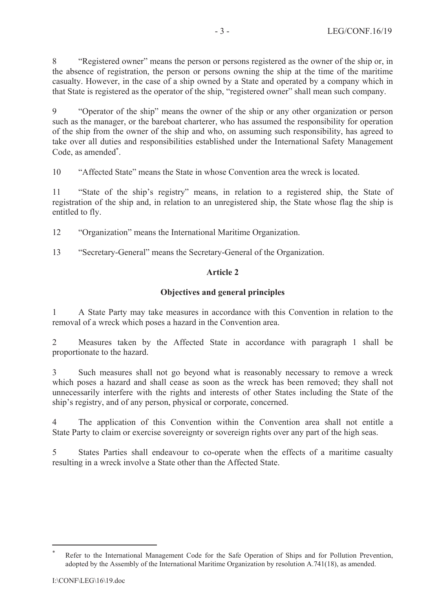8 "Registered owner" means the person or persons registered as the owner of the ship or, in the absence of registration, the person or persons owning the ship at the time of the maritime casualty. However, in the case of a ship owned by a State and operated by a company which in that State is registered as the operator of the ship, "registered owner" shall mean such company.

9 "Operator of the ship" means the owner of the ship or any other organization or person such as the manager, or the bareboat charterer, who has assumed the responsibility for operation of the ship from the owner of the ship and who, on assuming such responsibility, has agreed to take over all duties and responsibilities established under the International Safety Management Code, as amended .

10 "Affected State" means the State in whose Convention area the wreck is located.

11 "State of the ship's registry" means, in relation to a registered ship, the State of registration of the ship and, in relation to an unregistered ship, the State whose flag the ship is entitled to fly.

12 "Organization" means the International Maritime Organization.

13 "Secretary-General" means the Secretary-General of the Organization.

## **Article 2**

#### **Objectives and general principles**

1 A State Party may take measures in accordance with this Convention in relation to the removal of a wreck which poses a hazard in the Convention area.

2 Measures taken by the Affected State in accordance with paragraph 1 shall be proportionate to the hazard.

3 Such measures shall not go beyond what is reasonably necessary to remove a wreck which poses a hazard and shall cease as soon as the wreck has been removed; they shall not unnecessarily interfere with the rights and interests of other States including the State of the ship's registry, and of any person, physical or corporate, concerned.

4 The application of this Convention within the Convention area shall not entitle a State Party to claim or exercise sovereignty or sovereign rights over any part of the high seas.

5 States Parties shall endeavour to co-operate when the effects of a maritime casualty resulting in a wreck involve a State other than the Affected State.

<sup>×</sup> Refer to the International Management Code for the Safe Operation of Ships and for Pollution Prevention, adopted by the Assembly of the International Maritime Organization by resolution A.741(18), as amended.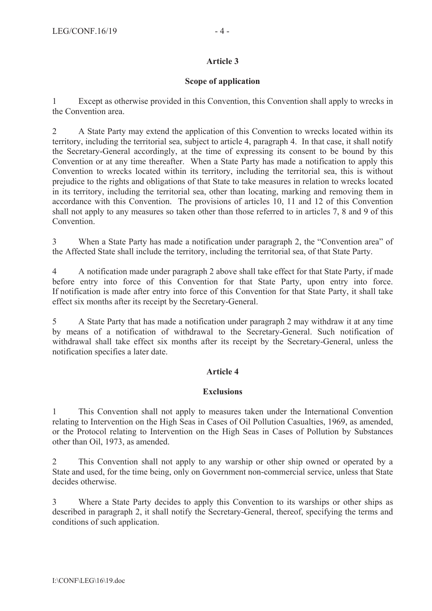## **Scope of application**

1 Except as otherwise provided in this Convention, this Convention shall apply to wrecks in the Convention area.

2 A State Party may extend the application of this Convention to wrecks located within its territory, including the territorial sea, subject to article 4, paragraph 4. In that case, it shall notify the Secretary-General accordingly, at the time of expressing its consent to be bound by this Convention or at any time thereafter. When a State Party has made a notification to apply this Convention to wrecks located within its territory, including the territorial sea, this is without prejudice to the rights and obligations of that State to take measures in relation to wrecks located in its territory, including the territorial sea, other than locating, marking and removing them in accordance with this Convention. The provisions of articles 10, 11 and 12 of this Convention shall not apply to any measures so taken other than those referred to in articles 7, 8 and 9 of this Convention.

3 When a State Party has made a notification under paragraph 2, the "Convention area" of the Affected State shall include the territory, including the territorial sea, of that State Party.

4 A notification made under paragraph 2 above shall take effect for that State Party, if made before entry into force of this Convention for that State Party, upon entry into force. If notification is made after entry into force of this Convention for that State Party, it shall take effect six months after its receipt by the Secretary-General.

5 A State Party that has made a notification under paragraph 2 may withdraw it at any time by means of a notification of withdrawal to the Secretary-General. Such notification of withdrawal shall take effect six months after its receipt by the Secretary-General, unless the notification specifies a later date.

# **Article 4**

## **Exclusions**

1 This Convention shall not apply to measures taken under the International Convention relating to Intervention on the High Seas in Cases of Oil Pollution Casualties, 1969, as amended, or the Protocol relating to Intervention on the High Seas in Cases of Pollution by Substances other than Oil, 1973, as amended.

2 This Convention shall not apply to any warship or other ship owned or operated by a State and used, for the time being, only on Government non-commercial service, unless that State decides otherwise.

3 Where a State Party decides to apply this Convention to its warships or other ships as described in paragraph 2, it shall notify the Secretary-General, thereof, specifying the terms and conditions of such application.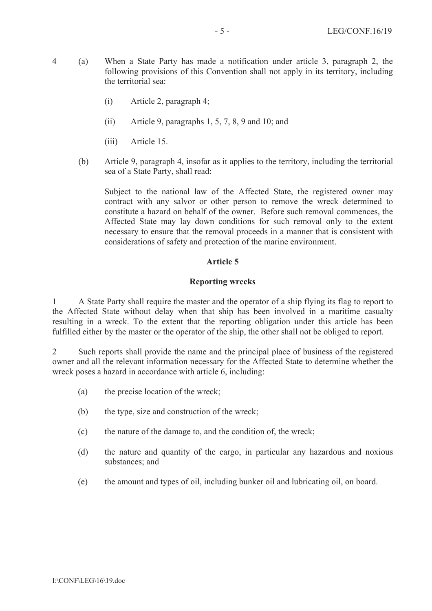- 4 (a) When a State Party has made a notification under article 3, paragraph 2, the following provisions of this Convention shall not apply in its territory, including the territorial sea:
	- (i) Article 2, paragraph 4;
	- (ii) Article 9, paragraphs  $1, 5, 7, 8, 9$  and  $10$ ; and
	- (iii) Article 15.
	- (b) Article 9, paragraph 4, insofar as it applies to the territory, including the territorial sea of a State Party, shall read:

Subject to the national law of the Affected State, the registered owner may contract with any salvor or other person to remove the wreck determined to constitute a hazard on behalf of the owner. Before such removal commences, the Affected State may lay down conditions for such removal only to the extent necessary to ensure that the removal proceeds in a manner that is consistent with considerations of safety and protection of the marine environment.

#### **Article 5**

#### **Reporting wrecks**

1 A State Party shall require the master and the operator of a ship flying its flag to report to the Affected State without delay when that ship has been involved in a maritime casualty resulting in a wreck. To the extent that the reporting obligation under this article has been fulfilled either by the master or the operator of the ship, the other shall not be obliged to report.

2 Such reports shall provide the name and the principal place of business of the registered owner and all the relevant information necessary for the Affected State to determine whether the wreck poses a hazard in accordance with article 6, including:

- (a) the precise location of the wreck;
- (b) the type, size and construction of the wreck;
- (c) the nature of the damage to, and the condition of, the wreck;
- (d) the nature and quantity of the cargo, in particular any hazardous and noxious substances; and
- (e) the amount and types of oil, including bunker oil and lubricating oil, on board.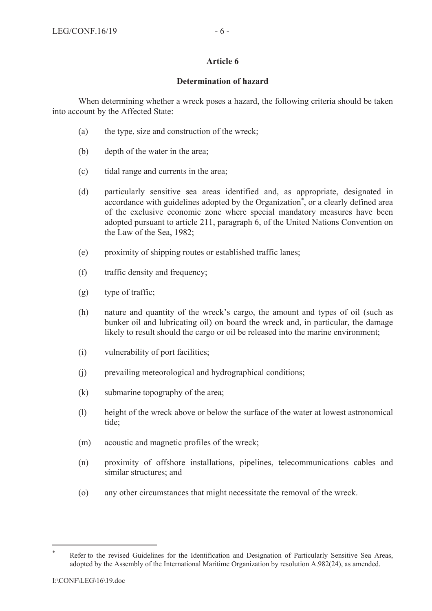## **Determination of hazard**

When determining whether a wreck poses a hazard, the following criteria should be taken into account by the Affected State:

- (a) the type, size and construction of the wreck;
- (b) depth of the water in the area;
- (c) tidal range and currents in the area;
- (d) particularly sensitive sea areas identified and, as appropriate, designated in accordance with guidelines adopted by the Organization<sup>\*</sup>, or a clearly defined area of the exclusive economic zone where special mandatory measures have been adopted pursuant to article 211, paragraph 6, of the United Nations Convention on the Law of the Sea, 1982;
- (e) proximity of shipping routes or established traffic lanes;
- (f) traffic density and frequency;
- (g) type of traffic;
- (h) nature and quantity of the wreck's cargo, the amount and types of oil (such as bunker oil and lubricating oil) on board the wreck and, in particular, the damage likely to result should the cargo or oil be released into the marine environment;
- (i) vulnerability of port facilities;
- (j) prevailing meteorological and hydrographical conditions;
- (k) submarine topography of the area;
- (l) height of the wreck above or below the surface of the water at lowest astronomical tide;
- (m) acoustic and magnetic profiles of the wreck;
- (n) proximity of offshore installations, pipelines, telecommunications cables and similar structures; and
- (o) any other circumstances that might necessitate the removal of the wreck.

<sup>×</sup> Refer to the revised Guidelines for the Identification and Designation of Particularly Sensitive Sea Areas, adopted by the Assembly of the International Maritime Organization by resolution A.982(24), as amended.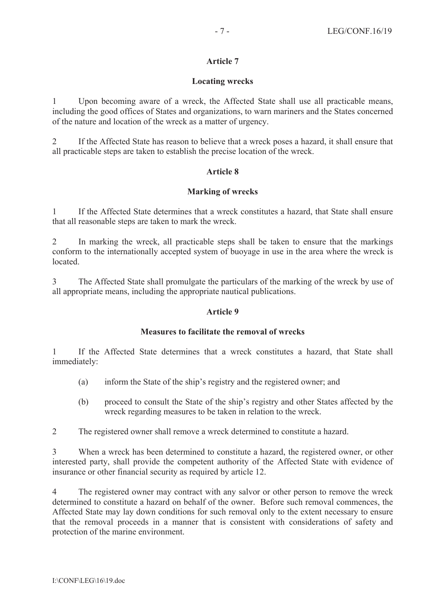### **Locating wrecks**

1 Upon becoming aware of a wreck, the Affected State shall use all practicable means, including the good offices of States and organizations, to warn mariners and the States concerned of the nature and location of the wreck as a matter of urgency.

2 If the Affected State has reason to believe that a wreck poses a hazard, it shall ensure that all practicable steps are taken to establish the precise location of the wreck.

## **Article 8**

#### **Marking of wrecks**

1 If the Affected State determines that a wreck constitutes a hazard, that State shall ensure that all reasonable steps are taken to mark the wreck.

2 In marking the wreck, all practicable steps shall be taken to ensure that the markings conform to the internationally accepted system of buoyage in use in the area where the wreck is **located** 

3 The Affected State shall promulgate the particulars of the marking of the wreck by use of all appropriate means, including the appropriate nautical publications.

#### **Article 9**

#### **Measures to facilitate the removal of wrecks**

1 If the Affected State determines that a wreck constitutes a hazard, that State shall immediately:

- (a) inform the State of the ship's registry and the registered owner; and
- (b) proceed to consult the State of the ship's registry and other States affected by the wreck regarding measures to be taken in relation to the wreck.

2 The registered owner shall remove a wreck determined to constitute a hazard.

3 When a wreck has been determined to constitute a hazard, the registered owner, or other interested party, shall provide the competent authority of the Affected State with evidence of insurance or other financial security as required by article 12.

4 The registered owner may contract with any salvor or other person to remove the wreck determined to constitute a hazard on behalf of the owner. Before such removal commences, the Affected State may lay down conditions for such removal only to the extent necessary to ensure that the removal proceeds in a manner that is consistent with considerations of safety and protection of the marine environment.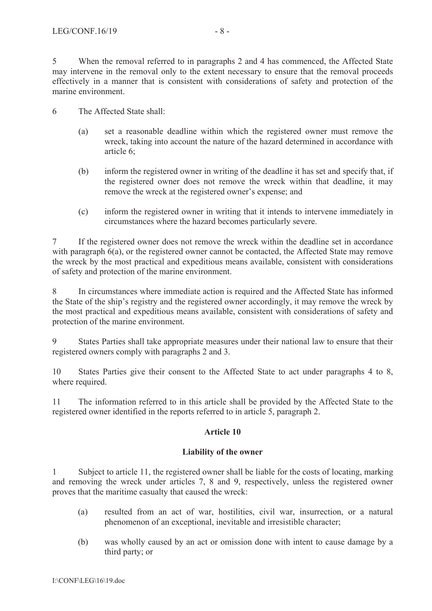5 When the removal referred to in paragraphs 2 and 4 has commenced, the Affected State may intervene in the removal only to the extent necessary to ensure that the removal proceeds effectively in a manner that is consistent with considerations of safety and protection of the marine environment.

6 The Affected State shall:

- (a) set a reasonable deadline within which the registered owner must remove the wreck, taking into account the nature of the hazard determined in accordance with article 6;
- (b) inform the registered owner in writing of the deadline it has set and specify that, if the registered owner does not remove the wreck within that deadline, it may remove the wreck at the registered owner's expense; and
- (c) inform the registered owner in writing that it intends to intervene immediately in circumstances where the hazard becomes particularly severe.

7 If the registered owner does not remove the wreck within the deadline set in accordance with paragraph 6(a), or the registered owner cannot be contacted, the Affected State may remove the wreck by the most practical and expeditious means available, consistent with considerations of safety and protection of the marine environment.

8 In circumstances where immediate action is required and the Affected State has informed the State of the ship's registry and the registered owner accordingly, it may remove the wreck by the most practical and expeditious means available, consistent with considerations of safety and protection of the marine environment.

9 States Parties shall take appropriate measures under their national law to ensure that their registered owners comply with paragraphs 2 and 3.

10 States Parties give their consent to the Affected State to act under paragraphs 4 to 8, where required.

11 The information referred to in this article shall be provided by the Affected State to the registered owner identified in the reports referred to in article 5, paragraph 2.

## **Article 10**

## **Liability of the owner**

1 Subject to article 11, the registered owner shall be liable for the costs of locating, marking and removing the wreck under articles 7, 8 and 9, respectively, unless the registered owner proves that the maritime casualty that caused the wreck:

- (a) resulted from an act of war, hostilities, civil war, insurrection, or a natural phenomenon of an exceptional, inevitable and irresistible character;
- (b) was wholly caused by an act or omission done with intent to cause damage by a third party; or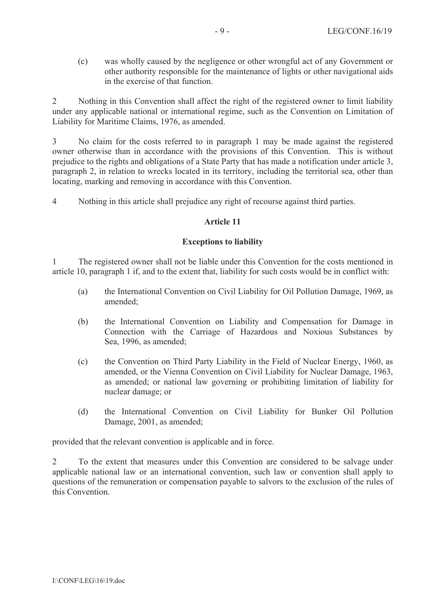(c) was wholly caused by the negligence or other wrongful act of any Government or other authority responsible for the maintenance of lights or other navigational aids in the exercise of that function.

2 Nothing in this Convention shall affect the right of the registered owner to limit liability under any applicable national or international regime, such as the Convention on Limitation of Liability for Maritime Claims, 1976, as amended.

3 No claim for the costs referred to in paragraph 1 may be made against the registered owner otherwise than in accordance with the provisions of this Convention. This is without prejudice to the rights and obligations of a State Party that has made a notification under article 3, paragraph 2, in relation to wrecks located in its territory, including the territorial sea, other than locating, marking and removing in accordance with this Convention.

4 Nothing in this article shall prejudice any right of recourse against third parties.

#### **Article 11**

#### **Exceptions to liability**

1 The registered owner shall not be liable under this Convention for the costs mentioned in article 10, paragraph 1 if, and to the extent that, liability for such costs would be in conflict with:

- (a) the International Convention on Civil Liability for Oil Pollution Damage, 1969, as amended;
- (b) the International Convention on Liability and Compensation for Damage in Connection with the Carriage of Hazardous and Noxious Substances by Sea, 1996, as amended;
- (c) the Convention on Third Party Liability in the Field of Nuclear Energy, 1960, as amended, or the Vienna Convention on Civil Liability for Nuclear Damage, 1963, as amended; or national law governing or prohibiting limitation of liability for nuclear damage; or
- (d) the International Convention on Civil Liability for Bunker Oil Pollution Damage, 2001, as amended;

provided that the relevant convention is applicable and in force.

2 To the extent that measures under this Convention are considered to be salvage under applicable national law or an international convention, such law or convention shall apply to questions of the remuneration or compensation payable to salvors to the exclusion of the rules of this Convention.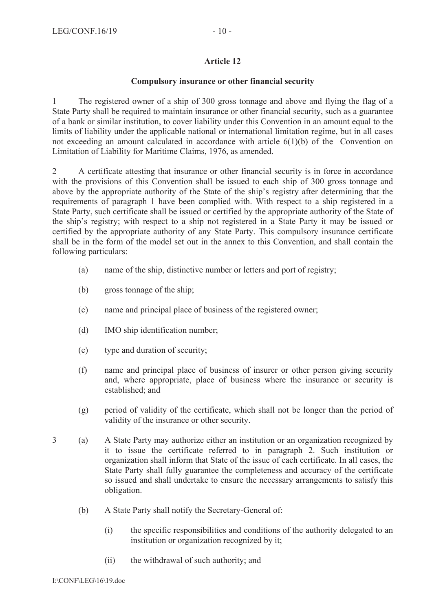## **Compulsory insurance or other financial security**

1 The registered owner of a ship of 300 gross tonnage and above and flying the flag of a State Party shall be required to maintain insurance or other financial security, such as a guarantee of a bank or similar institution, to cover liability under this Convention in an amount equal to the limits of liability under the applicable national or international limitation regime, but in all cases not exceeding an amount calculated in accordance with article 6(1)(b) of the Convention on Limitation of Liability for Maritime Claims, 1976, as amended.

2 A certificate attesting that insurance or other financial security is in force in accordance with the provisions of this Convention shall be issued to each ship of 300 gross tonnage and above by the appropriate authority of the State of the ship's registry after determining that the requirements of paragraph 1 have been complied with. With respect to a ship registered in a State Party, such certificate shall be issued or certified by the appropriate authority of the State of the ship's registry; with respect to a ship not registered in a State Party it may be issued or certified by the appropriate authority of any State Party. This compulsory insurance certificate shall be in the form of the model set out in the annex to this Convention, and shall contain the following particulars:

- (a) name of the ship, distinctive number or letters and port of registry;
- (b) gross tonnage of the ship;
- (c) name and principal place of business of the registered owner;
- (d) IMO ship identification number;
- (e) type and duration of security;
- (f) name and principal place of business of insurer or other person giving security and, where appropriate, place of business where the insurance or security is established; and
- (g) period of validity of the certificate, which shall not be longer than the period of validity of the insurance or other security.
- 3 (a) A State Party may authorize either an institution or an organization recognized by it to issue the certificate referred to in paragraph 2. Such institution or organization shall inform that State of the issue of each certificate. In all cases, the State Party shall fully guarantee the completeness and accuracy of the certificate so issued and shall undertake to ensure the necessary arrangements to satisfy this obligation.
	- (b) A State Party shall notify the Secretary-General of:
		- (i) the specific responsibilities and conditions of the authority delegated to an institution or organization recognized by it;
		- (ii) the withdrawal of such authority; and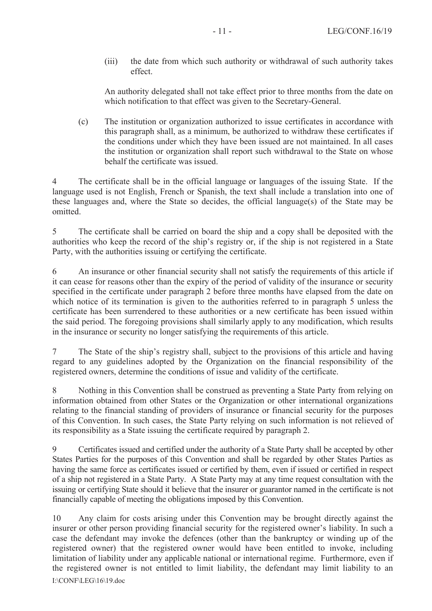(iii) the date from which such authority or withdrawal of such authority takes effect.

An authority delegated shall not take effect prior to three months from the date on which notification to that effect was given to the Secretary-General.

(c) The institution or organization authorized to issue certificates in accordance with this paragraph shall, as a minimum, be authorized to withdraw these certificates if the conditions under which they have been issued are not maintained. In all cases the institution or organization shall report such withdrawal to the State on whose behalf the certificate was issued.

4 The certificate shall be in the official language or languages of the issuing State. If the language used is not English, French or Spanish, the text shall include a translation into one of these languages and, where the State so decides, the official language(s) of the State may be omitted.

5 The certificate shall be carried on board the ship and a copy shall be deposited with the authorities who keep the record of the ship's registry or, if the ship is not registered in a State Party, with the authorities issuing or certifying the certificate.

6 An insurance or other financial security shall not satisfy the requirements of this article if it can cease for reasons other than the expiry of the period of validity of the insurance or security specified in the certificate under paragraph 2 before three months have elapsed from the date on which notice of its termination is given to the authorities referred to in paragraph 5 unless the certificate has been surrendered to these authorities or a new certificate has been issued within the said period. The foregoing provisions shall similarly apply to any modification, which results in the insurance or security no longer satisfying the requirements of this article.

7 The State of the ship's registry shall, subject to the provisions of this article and having regard to any guidelines adopted by the Organization on the financial responsibility of the registered owners, determine the conditions of issue and validity of the certificate.

8 Nothing in this Convention shall be construed as preventing a State Party from relying on information obtained from other States or the Organization or other international organizations relating to the financial standing of providers of insurance or financial security for the purposes of this Convention. In such cases, the State Party relying on such information is not relieved of its responsibility as a State issuing the certificate required by paragraph 2.

9 Certificates issued and certified under the authority of a State Party shall be accepted by other States Parties for the purposes of this Convention and shall be regarded by other States Parties as having the same force as certificates issued or certified by them, even if issued or certified in respect of a ship not registered in a State Party. A State Party may at any time request consultation with the issuing or certifying State should it believe that the insurer or guarantor named in the certificate is not financially capable of meeting the obligations imposed by this Convention.

10 Any claim for costs arising under this Convention may be brought directly against the insurer or other person providing financial security for the registered owner's liability. In such a case the defendant may invoke the defences (other than the bankruptcy or winding up of the registered owner) that the registered owner would have been entitled to invoke, including limitation of liability under any applicable national or international regime. Furthermore, even if the registered owner is not entitled to limit liability, the defendant may limit liability to an I:\CONF\LEG\16\19.doc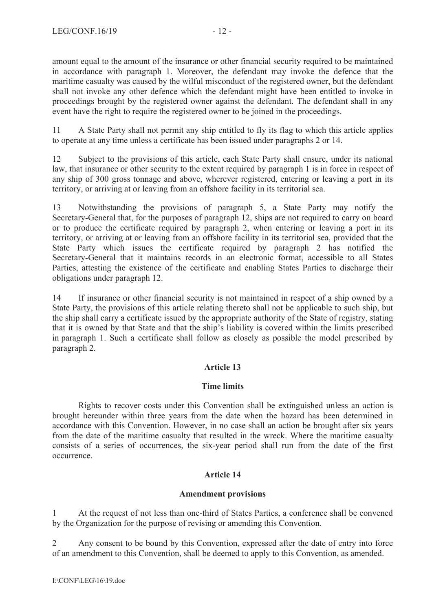amount equal to the amount of the insurance or other financial security required to be maintained in accordance with paragraph 1. Moreover, the defendant may invoke the defence that the maritime casualty was caused by the wilful misconduct of the registered owner, but the defendant shall not invoke any other defence which the defendant might have been entitled to invoke in proceedings brought by the registered owner against the defendant. The defendant shall in any event have the right to require the registered owner to be joined in the proceedings.

11 A State Party shall not permit any ship entitled to fly its flag to which this article applies to operate at any time unless a certificate has been issued under paragraphs 2 or 14.

12 Subject to the provisions of this article, each State Party shall ensure, under its national law, that insurance or other security to the extent required by paragraph 1 is in force in respect of any ship of 300 gross tonnage and above, wherever registered, entering or leaving a port in its territory, or arriving at or leaving from an offshore facility in its territorial sea.

13 Notwithstanding the provisions of paragraph 5, a State Party may notify the Secretary-General that, for the purposes of paragraph 12, ships are not required to carry on board or to produce the certificate required by paragraph 2, when entering or leaving a port in its territory, or arriving at or leaving from an offshore facility in its territorial sea, provided that the State Party which issues the certificate required by paragraph 2 has notified the Secretary-General that it maintains records in an electronic format, accessible to all States Parties, attesting the existence of the certificate and enabling States Parties to discharge their obligations under paragraph 12.

14 If insurance or other financial security is not maintained in respect of a ship owned by a State Party, the provisions of this article relating thereto shall not be applicable to such ship, but the ship shall carry a certificate issued by the appropriate authority of the State of registry, stating that it is owned by that State and that the ship's liability is covered within the limits prescribed in paragraph 1. Such a certificate shall follow as closely as possible the model prescribed by paragraph 2.

## **Article 13**

## **Time limits**

Rights to recover costs under this Convention shall be extinguished unless an action is brought hereunder within three years from the date when the hazard has been determined in accordance with this Convention. However, in no case shall an action be brought after six years from the date of the maritime casualty that resulted in the wreck. Where the maritime casualty consists of a series of occurrences, the six-year period shall run from the date of the first occurrence.

# **Article 14**

## **Amendment provisions**

1 At the request of not less than one-third of States Parties, a conference shall be convened by the Organization for the purpose of revising or amending this Convention.

2 Any consent to be bound by this Convention, expressed after the date of entry into force of an amendment to this Convention, shall be deemed to apply to this Convention, as amended.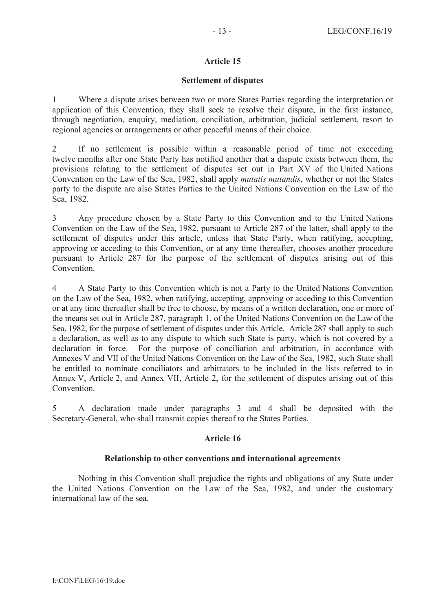### **Settlement of disputes**

1 Where a dispute arises between two or more States Parties regarding the interpretation or application of this Convention, they shall seek to resolve their dispute, in the first instance, through negotiation, enquiry, mediation, conciliation, arbitration, judicial settlement, resort to regional agencies or arrangements or other peaceful means of their choice.

2 If no settlement is possible within a reasonable period of time not exceeding twelve months after one State Party has notified another that a dispute exists between them, the provisions relating to the settlement of disputes set out in Part XV of the United Nations Convention on the Law of the Sea, 1982, shall apply *mutatis mutandis*, whether or not the States party to the dispute are also States Parties to the United Nations Convention on the Law of the Sea, 1982.

3 Any procedure chosen by a State Party to this Convention and to the United Nations Convention on the Law of the Sea, 1982, pursuant to Article 287 of the latter, shall apply to the settlement of disputes under this article, unless that State Party, when ratifying, accepting, approving or acceding to this Convention, or at any time thereafter, chooses another procedure pursuant to Article 287 for the purpose of the settlement of disputes arising out of this **Convention** 

4 A State Party to this Convention which is not a Party to the United Nations Convention on the Law of the Sea, 1982, when ratifying, accepting, approving or acceding to this Convention or at any time thereafter shall be free to choose, by means of a written declaration, one or more of the means set out in Article 287, paragraph 1, of the United Nations Convention on the Law of the Sea, 1982, for the purpose of settlement of disputes under this Article. Article 287 shall apply to such a declaration, as well as to any dispute to which such State is party, which is not covered by a declaration in force. For the purpose of conciliation and arbitration, in accordance with Annexes V and VII of the United Nations Convention on the Law of the Sea, 1982, such State shall be entitled to nominate conciliators and arbitrators to be included in the lists referred to in Annex V, Article 2, and Annex VII, Article 2, for the settlement of disputes arising out of this **Convention** 

5 A declaration made under paragraphs 3 and 4 shall be deposited with the Secretary-General, who shall transmit copies thereof to the States Parties.

## **Article 16**

#### **Relationship to other conventions and international agreements**

Nothing in this Convention shall prejudice the rights and obligations of any State under the United Nations Convention on the Law of the Sea, 1982, and under the customary international law of the sea.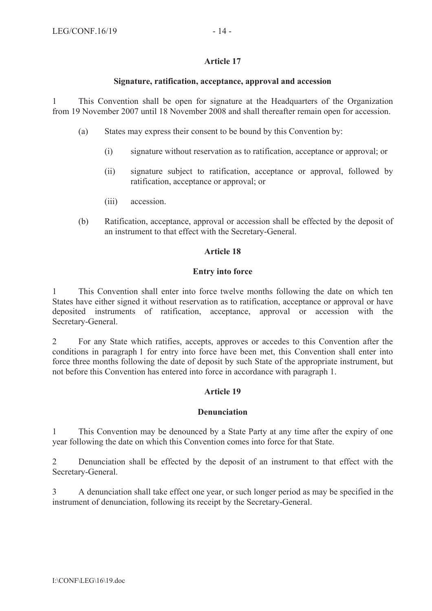#### **Signature, ratification, acceptance, approval and accession**

1 This Convention shall be open for signature at the Headquarters of the Organization from 19 November 2007 until 18 November 2008 and shall thereafter remain open for accession.

- (a) States may express their consent to be bound by this Convention by:
	- (i) signature without reservation as to ratification, acceptance or approval; or
	- (ii) signature subject to ratification, acceptance or approval, followed by ratification, acceptance or approval; or
	- (iii) accession.
- (b) Ratification, acceptance, approval or accession shall be effected by the deposit of an instrument to that effect with the Secretary-General.

#### **Article 18**

#### **Entry into force**

1 This Convention shall enter into force twelve months following the date on which ten States have either signed it without reservation as to ratification, acceptance or approval or have deposited instruments of ratification, acceptance, approval or accession with the Secretary-General.

2 For any State which ratifies, accepts, approves or accedes to this Convention after the conditions in paragraph 1 for entry into force have been met, this Convention shall enter into force three months following the date of deposit by such State of the appropriate instrument, but not before this Convention has entered into force in accordance with paragraph 1.

#### **Article 19**

#### **Denunciation**

1 This Convention may be denounced by a State Party at any time after the expiry of one year following the date on which this Convention comes into force for that State.

2 Denunciation shall be effected by the deposit of an instrument to that effect with the Secretary-General.

3 A denunciation shall take effect one year, or such longer period as may be specified in the instrument of denunciation, following its receipt by the Secretary-General.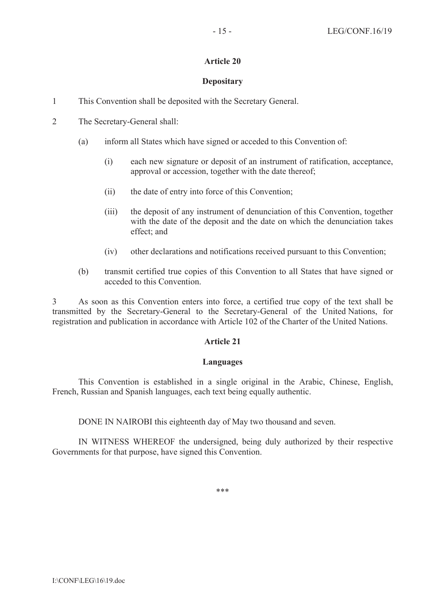# **Depositary**

- 1 This Convention shall be deposited with the Secretary General.
- 2 The Secretary-General shall:
	- (a) inform all States which have signed or acceded to this Convention of:
		- (i) each new signature or deposit of an instrument of ratification, acceptance, approval or accession, together with the date thereof;
		- (ii) the date of entry into force of this Convention;
		- (iii) the deposit of any instrument of denunciation of this Convention, together with the date of the deposit and the date on which the denunciation takes effect; and
		- (iv) other declarations and notifications received pursuant to this Convention;
	- (b) transmit certified true copies of this Convention to all States that have signed or acceded to this Convention.

3 As soon as this Convention enters into force, a certified true copy of the text shall be transmitted by the Secretary-General to the Secretary-General of the United Nations, for registration and publication in accordance with Article 102 of the Charter of the United Nations.

## **Article 21**

## **Languages**

This Convention is established in a single original in the Arabic, Chinese, English, French, Russian and Spanish languages, each text being equally authentic.

DONE IN NAIROBI this eighteenth day of May two thousand and seven.

IN WITNESS WHEREOF the undersigned, being duly authorized by their respective Governments for that purpose, have signed this Convention.

\*\*\*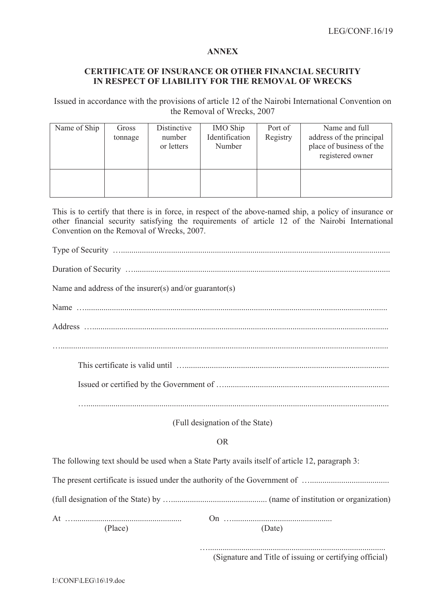### **ANNEX**

#### **CERTIFICATE OF INSURANCE OR OTHER FINANCIAL SECURITY IN RESPECT OF LIABILITY FOR THE REMOVAL OF WRECKS**

Issued in accordance with the provisions of article 12 of the Nairobi International Convention on the Removal of Wrecks, 2007

| Name of Ship | Gross<br>tonnage | Distinctive<br>number<br>or letters | <b>IMO</b> Ship<br>Identification<br>Number | Port of<br>Registry | Name and full<br>address of the principal<br>place of business of the<br>registered owner |
|--------------|------------------|-------------------------------------|---------------------------------------------|---------------------|-------------------------------------------------------------------------------------------|
|              |                  |                                     |                                             |                     |                                                                                           |

This is to certify that there is in force, in respect of the above-named ship, a policy of insurance or other financial security satisfying the requirements of article 12 of the Nairobi International Convention on the Removal of Wrecks, 2007.

Type of Security ….................................................................................................................................

Duration of Security …...........................................................................................................................

Name and address of the insurer(s) and/or guarantor(s)

Name …................................................................................................................................................. Address ….............................................................................................................................................. …............................................................................................................................................................. This certificate is valid until …..................................................................................................

Issued or certified by the Government of …...............................................................................

(Full designation of the State)

#### OR

The following text should be used when a State Party avails itself of article 12, paragraph 3:

The present certificate is issued under the authority of the Government of …......................................

(full designation of the State) by ….............................................. (name of institution or organization)

At ….................................................... On …................................................ (Place) (Date)

> …..................................................................................... (Signature and Title of issuing or certifying official)